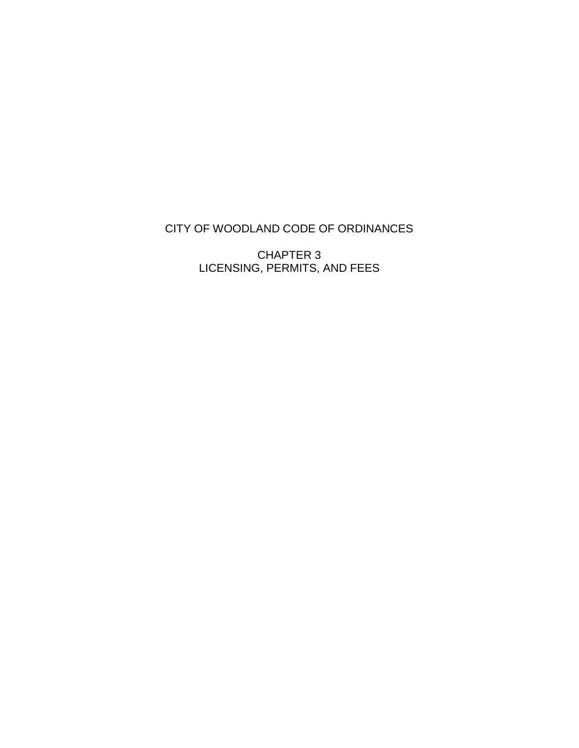#### CITY OF WOODLAND CODE OF ORDINANCES

CHAPTER 3 LICENSING, PERMITS, AND FEES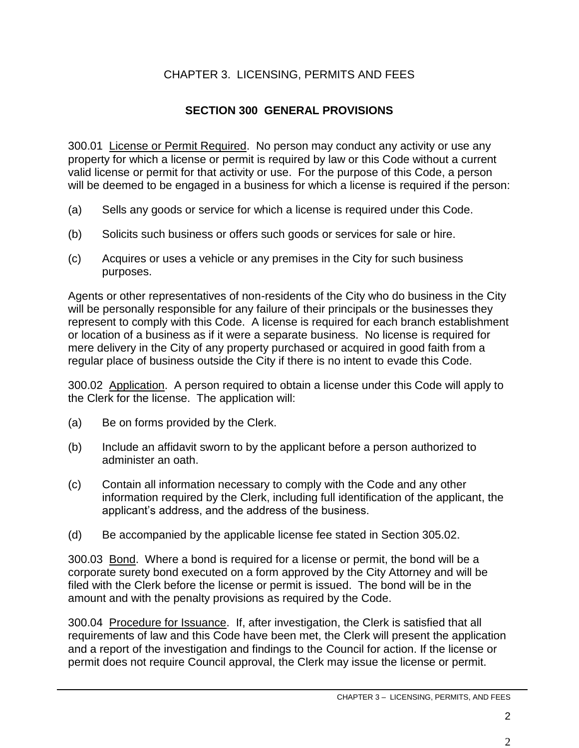### CHAPTER 3. LICENSING, PERMITS AND FEES

### **SECTION 300 GENERAL PROVISIONS**

300.01 License or Permit Required. No person may conduct any activity or use any property for which a license or permit is required by law or this Code without a current valid license or permit for that activity or use. For the purpose of this Code, a person will be deemed to be engaged in a business for which a license is required if the person:

- (a) Sells any goods or service for which a license is required under this Code.
- (b) Solicits such business or offers such goods or services for sale or hire.
- (c) Acquires or uses a vehicle or any premises in the City for such business purposes.

Agents or other representatives of non-residents of the City who do business in the City will be personally responsible for any failure of their principals or the businesses they represent to comply with this Code. A license is required for each branch establishment or location of a business as if it were a separate business. No license is required for mere delivery in the City of any property purchased or acquired in good faith from a regular place of business outside the City if there is no intent to evade this Code.

300.02 Application. A person required to obtain a license under this Code will apply to the Clerk for the license. The application will:

- (a) Be on forms provided by the Clerk.
- (b) Include an affidavit sworn to by the applicant before a person authorized to administer an oath.
- (c) Contain all information necessary to comply with the Code and any other information required by the Clerk, including full identification of the applicant, the applicant's address, and the address of the business.
- (d) Be accompanied by the applicable license fee stated in Section 305.02.

300.03 Bond. Where a bond is required for a license or permit, the bond will be a corporate surety bond executed on a form approved by the City Attorney and will be filed with the Clerk before the license or permit is issued. The bond will be in the amount and with the penalty provisions as required by the Code.

300.04 Procedure for Issuance. If, after investigation, the Clerk is satisfied that all requirements of law and this Code have been met, the Clerk will present the application and a report of the investigation and findings to the Council for action. If the license or permit does not require Council approval, the Clerk may issue the license or permit.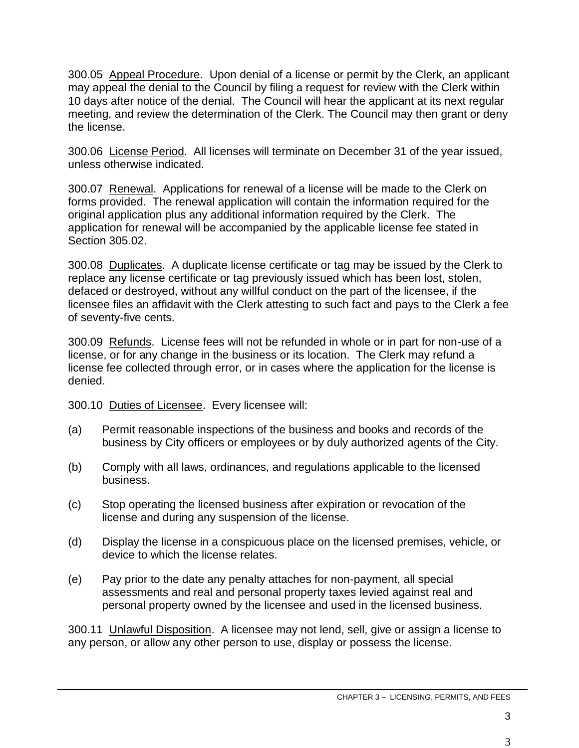300.05 Appeal Procedure. Upon denial of a license or permit by the Clerk, an applicant may appeal the denial to the Council by filing a request for review with the Clerk within 10 days after notice of the denial. The Council will hear the applicant at its next regular meeting, and review the determination of the Clerk. The Council may then grant or deny the license.

300.06 License Period. All licenses will terminate on December 31 of the year issued, unless otherwise indicated.

300.07 Renewal. Applications for renewal of a license will be made to the Clerk on forms provided. The renewal application will contain the information required for the original application plus any additional information required by the Clerk. The application for renewal will be accompanied by the applicable license fee stated in Section 305.02.

300.08 Duplicates. A duplicate license certificate or tag may be issued by the Clerk to replace any license certificate or tag previously issued which has been lost, stolen, defaced or destroyed, without any willful conduct on the part of the licensee, if the licensee files an affidavit with the Clerk attesting to such fact and pays to the Clerk a fee of seventy-five cents.

300.09 Refunds. License fees will not be refunded in whole or in part for non-use of a license, or for any change in the business or its location. The Clerk may refund a license fee collected through error, or in cases where the application for the license is denied.

300.10 Duties of Licensee. Every licensee will:

- (a) Permit reasonable inspections of the business and books and records of the business by City officers or employees or by duly authorized agents of the City.
- (b) Comply with all laws, ordinances, and regulations applicable to the licensed business.
- (c) Stop operating the licensed business after expiration or revocation of the license and during any suspension of the license.
- (d) Display the license in a conspicuous place on the licensed premises, vehicle, or device to which the license relates.
- (e) Pay prior to the date any penalty attaches for non-payment, all special assessments and real and personal property taxes levied against real and personal property owned by the licensee and used in the licensed business.

300.11 Unlawful Disposition. A licensee may not lend, sell, give or assign a license to any person, or allow any other person to use, display or possess the license.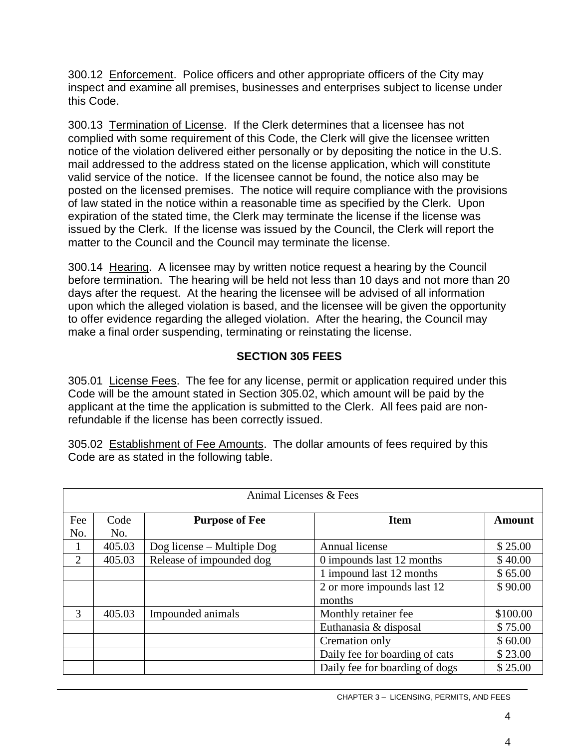300.12 Enforcement. Police officers and other appropriate officers of the City may inspect and examine all premises, businesses and enterprises subject to license under this Code.

300.13 Termination of License. If the Clerk determines that a licensee has not complied with some requirement of this Code, the Clerk will give the licensee written notice of the violation delivered either personally or by depositing the notice in the U.S. mail addressed to the address stated on the license application, which will constitute valid service of the notice. If the licensee cannot be found, the notice also may be posted on the licensed premises. The notice will require compliance with the provisions of law stated in the notice within a reasonable time as specified by the Clerk. Upon expiration of the stated time, the Clerk may terminate the license if the license was issued by the Clerk. If the license was issued by the Council, the Clerk will report the matter to the Council and the Council may terminate the license.

300.14 Hearing. A licensee may by written notice request a hearing by the Council before termination. The hearing will be held not less than 10 days and not more than 20 days after the request. At the hearing the licensee will be advised of all information upon which the alleged violation is based, and the licensee will be given the opportunity to offer evidence regarding the alleged violation. After the hearing, the Council may make a final order suspending, terminating or reinstating the license.

### **SECTION 305 FEES**

305.01 License Fees. The fee for any license, permit or application required under this Code will be the amount stated in Section 305.02, which amount will be paid by the applicant at the time the application is submitted to the Clerk. All fees paid are nonrefundable if the license has been correctly issued.

305.02 Establishment of Fee Amounts. The dollar amounts of fees required by this Code are as stated in the following table.

|              | Animal Licenses & Fees |                               |                                |               |
|--------------|------------------------|-------------------------------|--------------------------------|---------------|
| Fee          | Code                   | <b>Purpose of Fee</b>         | <b>Item</b>                    | <b>Amount</b> |
| No.          | No.                    |                               |                                |               |
| $\mathbf{I}$ | 405.03                 | $\log$ license – Multiple Dog | Annual license                 | \$25.00       |
| 2            | 405.03                 | Release of impounded dog      | 0 impounds last 12 months      | \$40.00       |
|              |                        |                               | 1 impound last 12 months       | \$65.00       |
|              |                        |                               | 2 or more impounds last 12     | \$90.00       |
|              |                        |                               | months                         |               |
| 3            | 405.03                 | Impounded animals             | Monthly retainer fee           | \$100.00      |
|              |                        |                               | Euthanasia & disposal          | \$75.00       |
|              |                        |                               | Cremation only                 | \$60.00       |
|              |                        |                               | Daily fee for boarding of cats | \$23.00       |
|              |                        |                               | Daily fee for boarding of dogs | \$25.00       |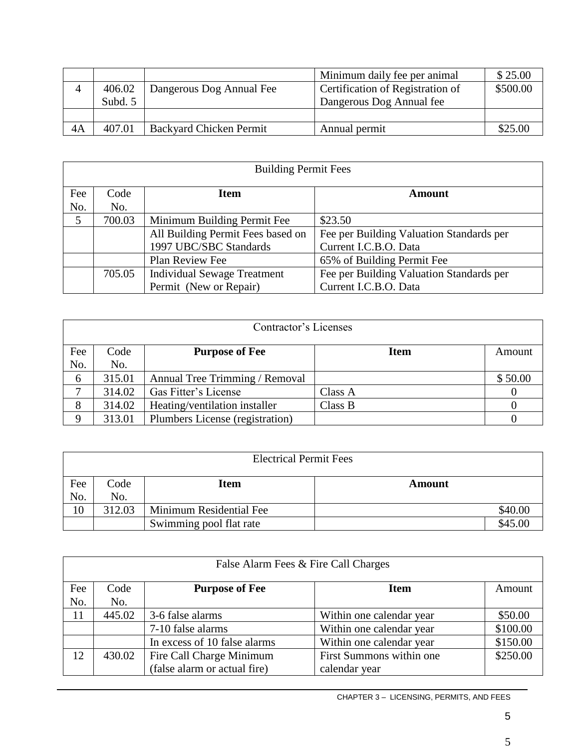|    |         |                                | Minimum daily fee per animal     | \$25.00  |
|----|---------|--------------------------------|----------------------------------|----------|
| Δ  | 406.02  | Dangerous Dog Annual Fee       | Certification of Registration of | \$500.00 |
|    | Subd. 5 |                                | Dangerous Dog Annual fee         |          |
|    |         |                                |                                  |          |
| 4A | 407.01  | <b>Backyard Chicken Permit</b> | Annual permit                    | \$25.00  |

|     | <b>Building Permit Fees</b> |                                    |                                          |  |  |
|-----|-----------------------------|------------------------------------|------------------------------------------|--|--|
| Fee | Code                        | <b>Item</b>                        | <b>Amount</b>                            |  |  |
| No. | No.                         |                                    |                                          |  |  |
| 5   | 700.03                      | Minimum Building Permit Fee        | \$23.50                                  |  |  |
|     |                             | All Building Permit Fees based on  | Fee per Building Valuation Standards per |  |  |
|     |                             | 1997 UBC/SBC Standards             | Current I.C.B.O. Data                    |  |  |
|     |                             | Plan Review Fee                    | 65% of Building Permit Fee               |  |  |
|     | 705.05                      | <b>Individual Sewage Treatment</b> | Fee per Building Valuation Standards per |  |  |
|     |                             | Permit (New or Repair)             | Current I.C.B.O. Data                    |  |  |

|     | Contractor's Licenses |                                 |             |         |  |
|-----|-----------------------|---------------------------------|-------------|---------|--|
| Fee | Code                  | <b>Purpose of Fee</b>           | <b>Item</b> | Amount  |  |
| No. | No.                   |                                 |             |         |  |
| 6   | 315.01                | Annual Tree Trimming / Removal  |             | \$50.00 |  |
|     | 314.02                | Gas Fitter's License            | Class A     |         |  |
| 8   | 314.02                | Heating/ventilation installer   | Class B     |         |  |
| 9   | 313.01                | Plumbers License (registration) |             |         |  |

|            | <b>Electrical Permit Fees</b> |                         |               |  |  |
|------------|-------------------------------|-------------------------|---------------|--|--|
| Fee<br>No. | Code<br>No.                   | <b>Item</b>             | <b>Amount</b> |  |  |
| 10         | 312.03                        | Minimum Residential Fee | \$40.00       |  |  |
|            |                               | Swimming pool flat rate | \$45.00       |  |  |

|     | False Alarm Fees & Fire Call Charges |                              |                          |          |  |
|-----|--------------------------------------|------------------------------|--------------------------|----------|--|
| Fee | Code                                 | <b>Purpose of Fee</b>        | <b>Item</b>              | Amount   |  |
| No. | No.                                  |                              |                          |          |  |
| 11  | 445.02                               | 3-6 false alarms             | Within one calendar year | \$50.00  |  |
|     |                                      | 7-10 false alarms            | Within one calendar year | \$100.00 |  |
|     |                                      | In excess of 10 false alarms | Within one calendar year | \$150.00 |  |
| 12  | 430.02                               | Fire Call Charge Minimum     | First Summons within one | \$250.00 |  |
|     |                                      | (false alarm or actual fire) | calendar year            |          |  |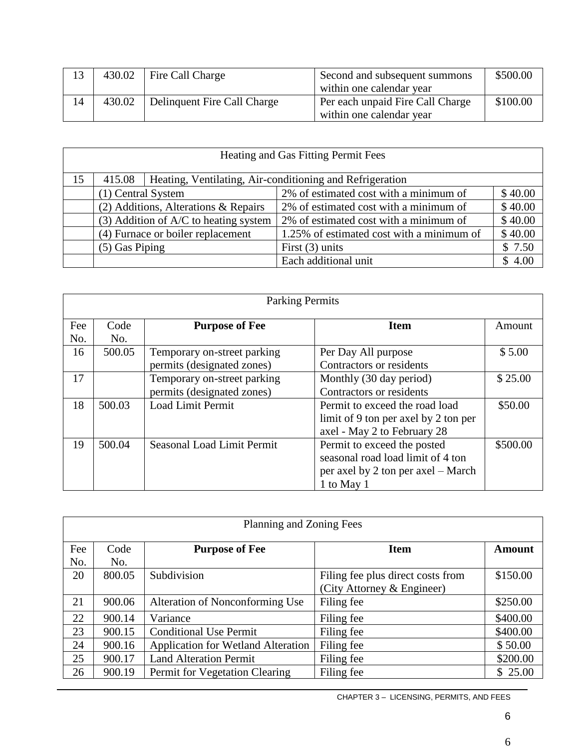| 13 | 430.02 | Fire Call Charge            | Second and subsequent summons    | \$500.00 |
|----|--------|-----------------------------|----------------------------------|----------|
|    |        |                             | within one calendar year         |          |
| 14 | 430.02 | Delinquent Fire Call Charge | Per each unpaid Fire Call Charge | \$100.00 |
|    |        |                             | within one calendar year         |          |

|    | Heating and Gas Fitting Permit Fees     |  |                                                          |         |  |
|----|-----------------------------------------|--|----------------------------------------------------------|---------|--|
| 15 | 415.08                                  |  | Heating, Ventilating, Air-conditioning and Refrigeration |         |  |
|    | (1) Central System                      |  | 2% of estimated cost with a minimum of                   | \$40.00 |  |
|    | $(2)$ Additions, Alterations & Repairs  |  | 2% of estimated cost with a minimum of                   | \$40.00 |  |
|    | $(3)$ Addition of A/C to heating system |  | 2% of estimated cost with a minimum of                   | \$40.00 |  |
|    | (4) Furnace or boiler replacement       |  | 1.25% of estimated cost with a minimum of                | \$40.00 |  |
|    | $(5)$ Gas Piping                        |  | First $(3)$ units                                        | \$7.50  |  |
|    |                                         |  | Each additional unit                                     | \$4.00  |  |

|     | <b>Parking Permits</b> |                             |                                      |          |
|-----|------------------------|-----------------------------|--------------------------------------|----------|
| Fee | Code                   | <b>Purpose of Fee</b>       | <b>Item</b>                          | Amount   |
| No. | No.                    |                             |                                      |          |
| 16  | 500.05                 | Temporary on-street parking | Per Day All purpose                  | \$5.00   |
|     |                        | permits (designated zones)  | Contractors or residents             |          |
| 17  |                        | Temporary on-street parking | Monthly (30 day period)              | \$25.00  |
|     |                        | permits (designated zones)  | Contractors or residents             |          |
| 18  | 500.03                 | Load Limit Permit           | Permit to exceed the road load       | \$50.00  |
|     |                        |                             | limit of 9 ton per axel by 2 ton per |          |
|     |                        |                             | axel - May 2 to February 28          |          |
| 19  | 500.04                 | Seasonal Load Limit Permit  | Permit to exceed the posted          | \$500.00 |
|     |                        |                             | seasonal road load limit of 4 ton    |          |
|     |                        |                             | per axel by 2 ton per axel – March   |          |
|     |                        |                             | 1 to May 1                           |          |

|     | Planning and Zoning Fees                     |                                           |                                   |          |  |  |
|-----|----------------------------------------------|-------------------------------------------|-----------------------------------|----------|--|--|
| Fee | <b>Purpose of Fee</b><br>Code<br><b>Item</b> |                                           |                                   |          |  |  |
| No. | No.                                          |                                           |                                   |          |  |  |
| 20  | 800.05                                       | Subdivision                               | Filing fee plus direct costs from | \$150.00 |  |  |
|     |                                              |                                           | (City Attorney & Engineer)        |          |  |  |
| 21  | 900.06                                       | Alteration of Nonconforming Use           | Filing fee                        | \$250.00 |  |  |
| 22  | 900.14                                       | Variance                                  | Filing fee                        | \$400.00 |  |  |
| 23  | 900.15                                       | <b>Conditional Use Permit</b>             | Filing fee                        | \$400.00 |  |  |
| 24  | 900.16                                       | <b>Application for Wetland Alteration</b> | Filing fee                        | \$50.00  |  |  |
| 25  | 900.17                                       | <b>Land Alteration Permit</b>             | Filing fee                        | \$200.00 |  |  |
| 26  | 900.19                                       | Permit for Vegetation Clearing            | Filing fee                        | \$25.00  |  |  |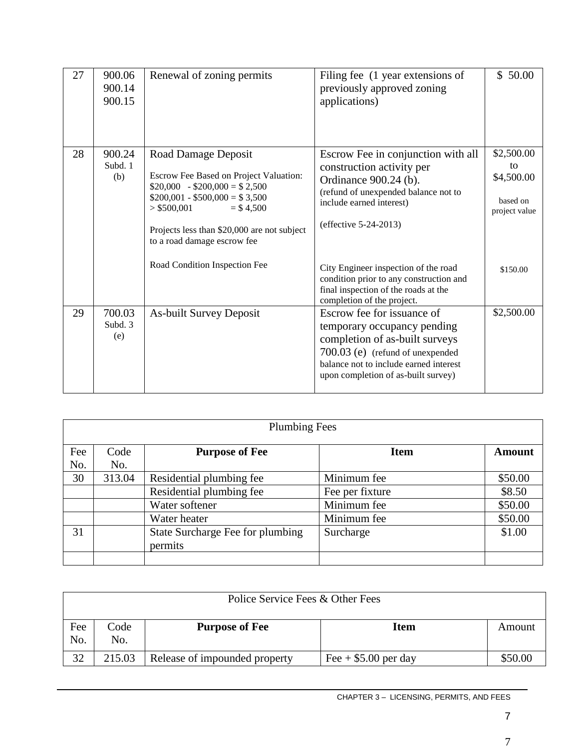| 27 | 900.06<br>900.14<br>900.15 | Renewal of zoning permits                                                                                                                                                                                                                                                     | Filing fee (1 year extensions of<br>previously approved zoning<br>applications)                                                                                                                                               | \$50.00                                                                 |
|----|----------------------------|-------------------------------------------------------------------------------------------------------------------------------------------------------------------------------------------------------------------------------------------------------------------------------|-------------------------------------------------------------------------------------------------------------------------------------------------------------------------------------------------------------------------------|-------------------------------------------------------------------------|
| 28 | 900.24<br>Subd. 1<br>(b)   | Road Damage Deposit<br>Escrow Fee Based on Project Valuation:<br>$$20,000 - $200,000 = $2,500$<br>$$200,001 - $500,000 = $3,500$<br>> \$500,001<br>$=$ \$4.500<br>Projects less than \$20,000 are not subject<br>to a road damage escrow fee<br>Road Condition Inspection Fee | Escrow Fee in conjunction with all<br>construction activity per<br>Ordinance 900.24 (b).<br>(refund of unexpended balance not to<br>include earned interest)<br>(effective 5-24-2013)<br>City Engineer inspection of the road | \$2,500.00<br>to<br>\$4,500.00<br>based on<br>project value<br>\$150.00 |
|    |                            |                                                                                                                                                                                                                                                                               | condition prior to any construction and<br>final inspection of the roads at the<br>completion of the project.                                                                                                                 |                                                                         |
| 29 | 700.03<br>Subd. 3<br>(e)   | <b>As-built Survey Deposit</b>                                                                                                                                                                                                                                                | Escrow fee for issuance of<br>temporary occupancy pending<br>completion of as-built surveys<br>700.03 (e) (refund of unexpended<br>balance not to include earned interest<br>upon completion of as-built survey)              | \$2,500.00                                                              |

|     | <b>Plumbing Fees</b>                                          |                                  |                 |         |  |  |
|-----|---------------------------------------------------------------|----------------------------------|-----------------|---------|--|--|
| Fee | Code<br><b>Purpose of Fee</b><br><b>Item</b><br><b>Amount</b> |                                  |                 |         |  |  |
| No. | No.                                                           |                                  |                 |         |  |  |
| 30  | 313.04                                                        | Residential plumbing fee         | Minimum fee     | \$50.00 |  |  |
|     |                                                               | Residential plumbing fee         | Fee per fixture | \$8.50  |  |  |
|     |                                                               | Water softener                   | Minimum fee     | \$50.00 |  |  |
|     |                                                               | Water heater                     | Minimum fee     | \$50.00 |  |  |
| 31  |                                                               | State Surcharge Fee for plumbing | Surcharge       | \$1.00  |  |  |
|     |                                                               | permits                          |                 |         |  |  |
|     |                                                               |                                  |                 |         |  |  |

| Police Service Fees & Other Fees |             |                               |                        |         |
|----------------------------------|-------------|-------------------------------|------------------------|---------|
| Fee<br>No.                       | Code<br>No. | <b>Purpose of Fee</b>         | <b>Item</b>            | Amount  |
| 32                               | 215.03      | Release of impounded property | Fee $+$ \$5.00 per day | \$50.00 |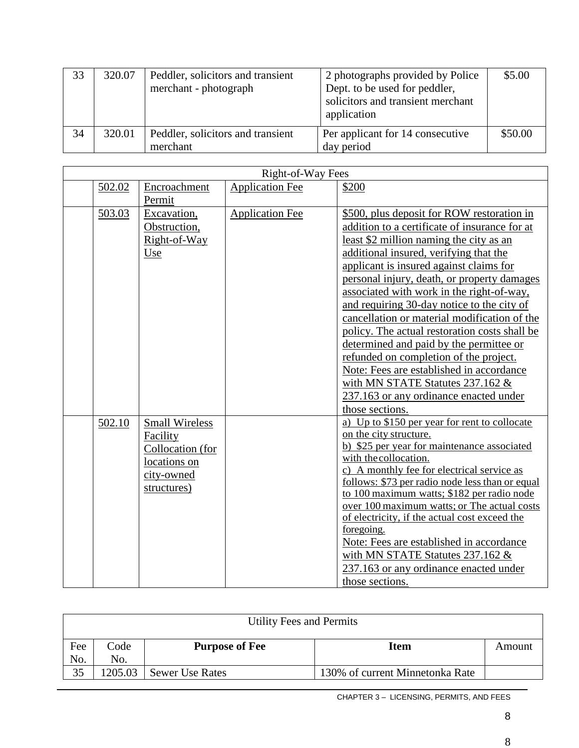| 33 | 320.07 | Peddler, solicitors and transient<br>merchant - photograph | 2 photographs provided by Police<br>Dept. to be used for peddler,<br>solicitors and transient merchant<br>application | \$5.00  |
|----|--------|------------------------------------------------------------|-----------------------------------------------------------------------------------------------------------------------|---------|
| 34 | 320.01 | Peddler, solicitors and transient<br>merchant              | Per applicant for 14 consecutive<br>day period                                                                        | \$50.00 |

| Right-of-Way Fees |                                                                                                    |                        |                                                                                                                                                                                                                                                                                                                                                                                                                                                                                                                                                                                                                                                                                                          |
|-------------------|----------------------------------------------------------------------------------------------------|------------------------|----------------------------------------------------------------------------------------------------------------------------------------------------------------------------------------------------------------------------------------------------------------------------------------------------------------------------------------------------------------------------------------------------------------------------------------------------------------------------------------------------------------------------------------------------------------------------------------------------------------------------------------------------------------------------------------------------------|
| 502.02            | Encroachment<br>Permit                                                                             | <b>Application Fee</b> | \$200                                                                                                                                                                                                                                                                                                                                                                                                                                                                                                                                                                                                                                                                                                    |
| 503.03            | Excavation,<br>Obstruction,<br>Right-of-Way<br>Use                                                 | <b>Application Fee</b> | \$500, plus deposit for ROW restoration in<br>addition to a certificate of insurance for at<br>least \$2 million naming the city as an<br>additional insured, verifying that the<br>applicant is insured against claims for<br>personal injury, death, or property damages<br>associated with work in the right-of-way,<br>and requiring 30-day notice to the city of<br>cancellation or material modification of the<br>policy. The actual restoration costs shall be<br>determined and paid by the permittee or<br>refunded on completion of the project.<br>Note: Fees are established in accordance<br>with MN STATE Statutes 237.162 &<br>237.163 or any ordinance enacted under<br>those sections. |
| 502.10            | <b>Small Wireless</b><br>Facility<br>Collocation (for<br>locations on<br>city-owned<br>structures) |                        | a) Up to \$150 per year for rent to collocate<br>on the city structure.<br>b) \$25 per year for maintenance associated<br>with the collocation.<br>c) A monthly fee for electrical service as<br>follows: \$73 per radio node less than or equal<br>to 100 maximum watts; \$182 per radio node<br>over 100 maximum watts; or The actual costs<br>of electricity, if the actual cost exceed the<br>foregoing.<br>Note: Fees are established in accordance<br>with MN STATE Statutes 237.162 &<br>237.163 or any ordinance enacted under<br>those sections.                                                                                                                                                |

| <b>Utility Fees and Permits</b> |         |                        |                                 |        |
|---------------------------------|---------|------------------------|---------------------------------|--------|
| Fee                             | Code    | <b>Purpose of Fee</b>  | Item                            | Amount |
| No.                             | No.     |                        |                                 |        |
| 35                              | 1205.03 | <b>Sewer Use Rates</b> | 130% of current Minnetonka Rate |        |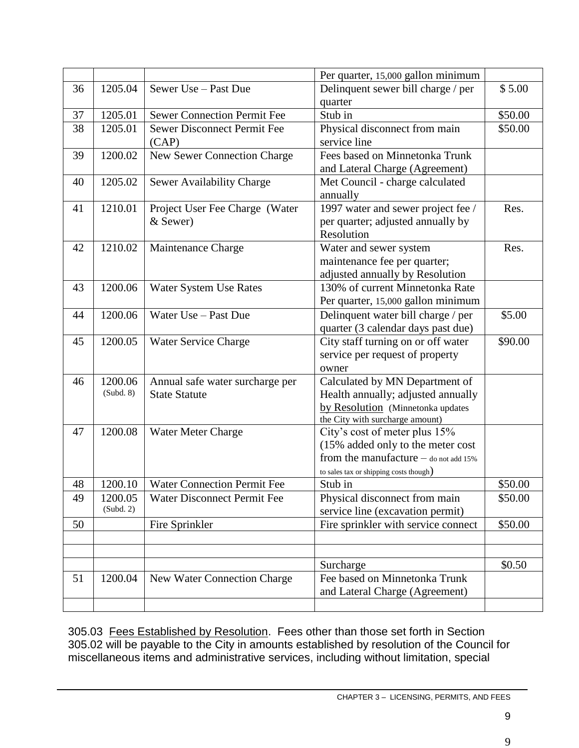|    |           |                                    | Per quarter, 15,000 gallon minimum                                 |         |
|----|-----------|------------------------------------|--------------------------------------------------------------------|---------|
| 36 | 1205.04   | Sewer Use - Past Due               | Delinquent sewer bill charge / per                                 | \$5.00  |
|    |           |                                    | quarter                                                            |         |
| 37 | 1205.01   | <b>Sewer Connection Permit Fee</b> | Stub in                                                            | \$50.00 |
| 38 | 1205.01   | <b>Sewer Disconnect Permit Fee</b> | Physical disconnect from main                                      | \$50.00 |
|    |           | (CAP)                              | service line                                                       |         |
| 39 | 1200.02   | New Sewer Connection Charge        | Fees based on Minnetonka Trunk                                     |         |
|    |           |                                    | and Lateral Charge (Agreement)                                     |         |
| 40 | 1205.02   | Sewer Availability Charge          | Met Council - charge calculated                                    |         |
|    |           |                                    | annually                                                           |         |
| 41 | 1210.01   | Project User Fee Charge (Water     | 1997 water and sewer project fee /                                 | Res.    |
|    |           | & Sewer)                           | per quarter; adjusted annually by                                  |         |
|    |           |                                    | Resolution                                                         |         |
| 42 | 1210.02   | Maintenance Charge                 | Water and sewer system                                             | Res.    |
|    |           |                                    | maintenance fee per quarter;                                       |         |
|    |           |                                    | adjusted annually by Resolution                                    |         |
| 43 | 1200.06   | Water System Use Rates             | 130% of current Minnetonka Rate                                    |         |
|    |           |                                    | Per quarter, 15,000 gallon minimum                                 |         |
| 44 | 1200.06   | Water Use - Past Due               | Delinquent water bill charge / per                                 | \$5.00  |
|    |           |                                    | quarter (3 calendar days past due)                                 |         |
| 45 | 1200.05   | <b>Water Service Charge</b>        | City staff turning on or off water                                 | \$90.00 |
|    |           |                                    | service per request of property                                    |         |
|    |           |                                    | owner                                                              |         |
| 46 | 1200.06   | Annual safe water surcharge per    | Calculated by MN Department of                                     |         |
|    | (Subd. 8) | <b>State Statute</b>               | Health annually; adjusted annually                                 |         |
|    |           |                                    | by Resolution (Minnetonka updates                                  |         |
|    |           |                                    | the City with surcharge amount)                                    |         |
| 47 | 1200.08   | Water Meter Charge                 | City's cost of meter plus 15%<br>(15% added only to the meter cost |         |
|    |           |                                    | from the manufacture $-$ do not add 15%                            |         |
|    |           |                                    | to sales tax or shipping costs though)                             |         |
| 48 | 1200.10   | <b>Water Connection Permit Fee</b> | Stub in                                                            | \$50.00 |
| 49 | 1200.05   | Water Disconnect Permit Fee        | Physical disconnect from main                                      | \$50.00 |
|    | (Subd. 2) |                                    | service line (excavation permit)                                   |         |
| 50 |           | Fire Sprinkler                     | Fire sprinkler with service connect                                | \$50.00 |
|    |           |                                    |                                                                    |         |
|    |           |                                    |                                                                    |         |
|    |           |                                    | Surcharge                                                          | \$0.50  |
| 51 | 1200.04   | New Water Connection Charge        | Fee based on Minnetonka Trunk                                      |         |
|    |           |                                    | and Lateral Charge (Agreement)                                     |         |
|    |           |                                    |                                                                    |         |

305.03 Fees Established by Resolution. Fees other than those set forth in Section 305.02 will be payable to the City in amounts established by resolution of the Council for miscellaneous items and administrative services, including without limitation, special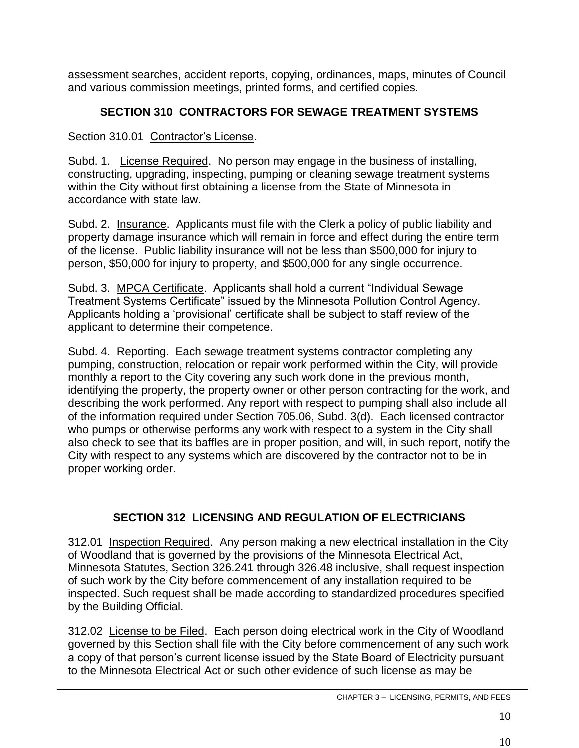assessment searches, accident reports, copying, ordinances, maps, minutes of Council and various commission meetings, printed forms, and certified copies.

# **SECTION 310 CONTRACTORS FOR SEWAGE TREATMENT SYSTEMS**

Section 310.01 Contractor's License.

Subd. 1. License Required. No person may engage in the business of installing, constructing, upgrading, inspecting, pumping or cleaning sewage treatment systems within the City without first obtaining a license from the State of Minnesota in accordance with state law.

Subd. 2. Insurance. Applicants must file with the Clerk a policy of public liability and property damage insurance which will remain in force and effect during the entire term of the license. Public liability insurance will not be less than \$500,000 for injury to person, \$50,000 for injury to property, and \$500,000 for any single occurrence.

Subd. 3. MPCA Certificate. Applicants shall hold a current "Individual Sewage Treatment Systems Certificate" issued by the Minnesota Pollution Control Agency. Applicants holding a 'provisional' certificate shall be subject to staff review of the applicant to determine their competence.

Subd. 4. Reporting. Each sewage treatment systems contractor completing any pumping, construction, relocation or repair work performed within the City, will provide monthly a report to the City covering any such work done in the previous month, identifying the property, the property owner or other person contracting for the work, and describing the work performed. Any report with respect to pumping shall also include all of the information required under Section 705.06, Subd. 3(d). Each licensed contractor who pumps or otherwise performs any work with respect to a system in the City shall also check to see that its baffles are in proper position, and will, in such report, notify the City with respect to any systems which are discovered by the contractor not to be in proper working order.

# **SECTION 312 LICENSING AND REGULATION OF ELECTRICIANS**

312.01 Inspection Required. Any person making a new electrical installation in the City of Woodland that is governed by the provisions of the Minnesota Electrical Act, Minnesota Statutes, Section 326.241 through 326.48 inclusive, shall request inspection of such work by the City before commencement of any installation required to be inspected. Such request shall be made according to standardized procedures specified by the Building Official.

312.02 License to be Filed. Each person doing electrical work in the City of Woodland governed by this Section shall file with the City before commencement of any such work a copy of that person's current license issued by the State Board of Electricity pursuant to the Minnesota Electrical Act or such other evidence of such license as may be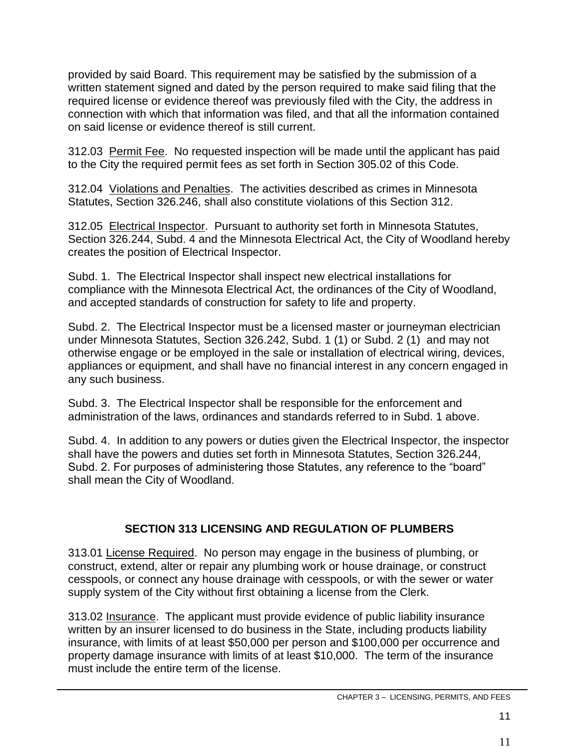provided by said Board. This requirement may be satisfied by the submission of a written statement signed and dated by the person required to make said filing that the required license or evidence thereof was previously filed with the City, the address in connection with which that information was filed, and that all the information contained on said license or evidence thereof is still current.

312.03 Permit Fee. No requested inspection will be made until the applicant has paid to the City the required permit fees as set forth in Section 305.02 of this Code.

312.04 Violations and Penalties. The activities described as crimes in Minnesota Statutes, Section 326.246, shall also constitute violations of this Section 312.

312.05 Electrical Inspector. Pursuant to authority set forth in Minnesota Statutes, Section 326.244, Subd. 4 and the Minnesota Electrical Act, the City of Woodland hereby creates the position of Electrical Inspector.

Subd. 1. The Electrical Inspector shall inspect new electrical installations for compliance with the Minnesota Electrical Act, the ordinances of the City of Woodland, and accepted standards of construction for safety to life and property.

Subd. 2. The Electrical Inspector must be a licensed master or journeyman electrician under Minnesota Statutes, Section 326.242, Subd. 1 (1) or Subd. 2 (1) and may not otherwise engage or be employed in the sale or installation of electrical wiring, devices, appliances or equipment, and shall have no financial interest in any concern engaged in any such business.

Subd. 3. The Electrical Inspector shall be responsible for the enforcement and administration of the laws, ordinances and standards referred to in Subd. 1 above.

Subd. 4. In addition to any powers or duties given the Electrical Inspector, the inspector shall have the powers and duties set forth in Minnesota Statutes, Section 326.244, Subd. 2. For purposes of administering those Statutes, any reference to the "board" shall mean the City of Woodland.

## **SECTION 313 LICENSING AND REGULATION OF PLUMBERS**

313.01 License Required. No person may engage in the business of plumbing, or construct, extend, alter or repair any plumbing work or house drainage, or construct cesspools, or connect any house drainage with cesspools, or with the sewer or water supply system of the City without first obtaining a license from the Clerk.

313.02 Insurance. The applicant must provide evidence of public liability insurance written by an insurer licensed to do business in the State, including products liability insurance, with limits of at least \$50,000 per person and \$100,000 per occurrence and property damage insurance with limits of at least \$10,000. The term of the insurance must include the entire term of the license.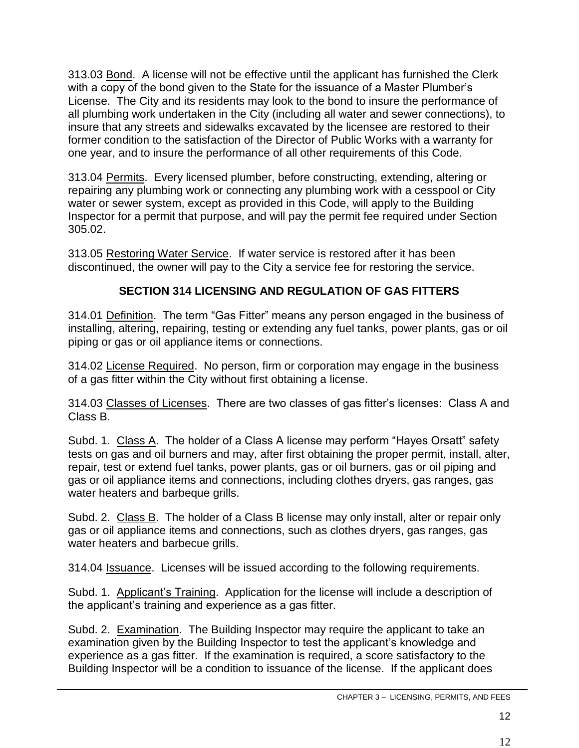313.03 Bond. A license will not be effective until the applicant has furnished the Clerk with a copy of the bond given to the State for the issuance of a Master Plumber's License. The City and its residents may look to the bond to insure the performance of all plumbing work undertaken in the City (including all water and sewer connections), to insure that any streets and sidewalks excavated by the licensee are restored to their former condition to the satisfaction of the Director of Public Works with a warranty for one year, and to insure the performance of all other requirements of this Code.

313.04 Permits. Every licensed plumber, before constructing, extending, altering or repairing any plumbing work or connecting any plumbing work with a cesspool or City water or sewer system, except as provided in this Code, will apply to the Building Inspector for a permit that purpose, and will pay the permit fee required under Section 305.02.

313.05 Restoring Water Service. If water service is restored after it has been discontinued, the owner will pay to the City a service fee for restoring the service.

### **SECTION 314 LICENSING AND REGULATION OF GAS FITTERS**

314.01 Definition. The term "Gas Fitter" means any person engaged in the business of installing, altering, repairing, testing or extending any fuel tanks, power plants, gas or oil piping or gas or oil appliance items or connections.

314.02 License Required. No person, firm or corporation may engage in the business of a gas fitter within the City without first obtaining a license.

314.03 Classes of Licenses. There are two classes of gas fitter's licenses: Class A and Class B.

Subd. 1. Class A. The holder of a Class A license may perform "Hayes Orsatt" safety tests on gas and oil burners and may, after first obtaining the proper permit, install, alter, repair, test or extend fuel tanks, power plants, gas or oil burners, gas or oil piping and gas or oil appliance items and connections, including clothes dryers, gas ranges, gas water heaters and barbeque grills.

Subd. 2. Class B. The holder of a Class B license may only install, alter or repair only gas or oil appliance items and connections, such as clothes dryers, gas ranges, gas water heaters and barbecue grills.

314.04 Issuance. Licenses will be issued according to the following requirements.

Subd. 1. Applicant's Training. Application for the license will include a description of the applicant's training and experience as a gas fitter.

Subd. 2. Examination. The Building Inspector may require the applicant to take an examination given by the Building Inspector to test the applicant's knowledge and experience as a gas fitter. If the examination is required, a score satisfactory to the Building Inspector will be a condition to issuance of the license. If the applicant does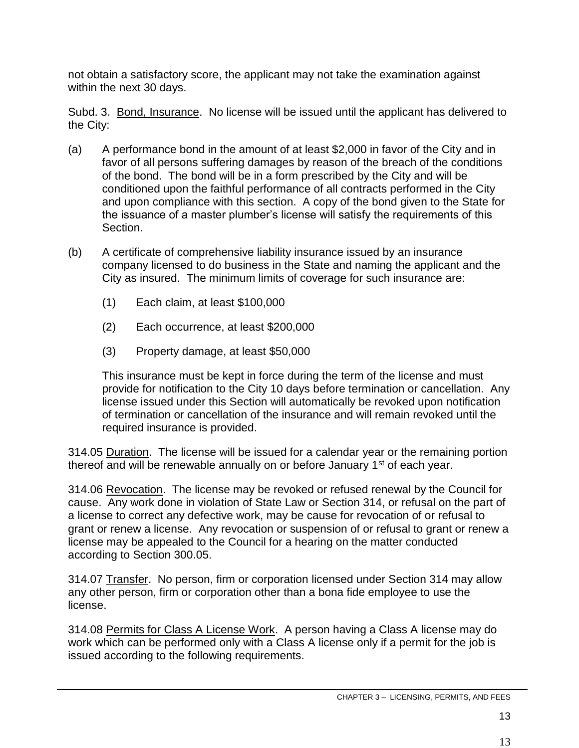not obtain a satisfactory score, the applicant may not take the examination against within the next 30 days.

Subd. 3. Bond, Insurance. No license will be issued until the applicant has delivered to the City:

- (a) A performance bond in the amount of at least \$2,000 in favor of the City and in favor of all persons suffering damages by reason of the breach of the conditions of the bond. The bond will be in a form prescribed by the City and will be conditioned upon the faithful performance of all contracts performed in the City and upon compliance with this section. A copy of the bond given to the State for the issuance of a master plumber's license will satisfy the requirements of this Section.
- (b) A certificate of comprehensive liability insurance issued by an insurance company licensed to do business in the State and naming the applicant and the City as insured. The minimum limits of coverage for such insurance are:
	- (1) Each claim, at least \$100,000
	- (2) Each occurrence, at least \$200,000
	- (3) Property damage, at least \$50,000

This insurance must be kept in force during the term of the license and must provide for notification to the City 10 days before termination or cancellation. Any license issued under this Section will automatically be revoked upon notification of termination or cancellation of the insurance and will remain revoked until the required insurance is provided.

314.05 Duration. The license will be issued for a calendar year or the remaining portion thereof and will be renewable annually on or before January 1<sup>st</sup> of each year.

314.06 Revocation. The license may be revoked or refused renewal by the Council for cause. Any work done in violation of State Law or Section 314, or refusal on the part of a license to correct any defective work, may be cause for revocation of or refusal to grant or renew a license. Any revocation or suspension of or refusal to grant or renew a license may be appealed to the Council for a hearing on the matter conducted according to Section 300.05.

314.07 Transfer. No person, firm or corporation licensed under Section 314 may allow any other person, firm or corporation other than a bona fide employee to use the license.

314.08 Permits for Class A License Work. A person having a Class A license may do work which can be performed only with a Class A license only if a permit for the job is issued according to the following requirements.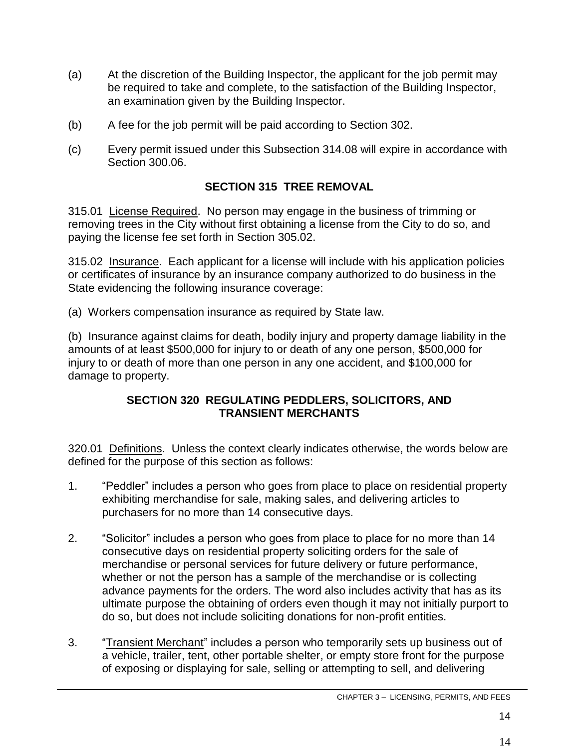- (a) At the discretion of the Building Inspector, the applicant for the job permit may be required to take and complete, to the satisfaction of the Building Inspector, an examination given by the Building Inspector.
- (b) A fee for the job permit will be paid according to Section 302.
- (c) Every permit issued under this Subsection 314.08 will expire in accordance with Section 300.06.

### **SECTION 315 TREE REMOVAL**

315.01 License Required. No person may engage in the business of trimming or removing trees in the City without first obtaining a license from the City to do so, and paying the license fee set forth in Section 305.02.

315.02 Insurance. Each applicant for a license will include with his application policies or certificates of insurance by an insurance company authorized to do business in the State evidencing the following insurance coverage:

(a) Workers compensation insurance as required by State law.

(b) Insurance against claims for death, bodily injury and property damage liability in the amounts of at least \$500,000 for injury to or death of any one person, \$500,000 for injury to or death of more than one person in any one accident, and \$100,000 for damage to property.

#### **SECTION 320 REGULATING PEDDLERS, SOLICITORS, AND TRANSIENT MERCHANTS**

320.01 Definitions. Unless the context clearly indicates otherwise, the words below are defined for the purpose of this section as follows:

- 1. "Peddler" includes a person who goes from place to place on residential property exhibiting merchandise for sale, making sales, and delivering articles to purchasers for no more than 14 consecutive days.
- 2. "Solicitor" includes a person who goes from place to place for no more than 14 consecutive days on residential property soliciting orders for the sale of merchandise or personal services for future delivery or future performance, whether or not the person has a sample of the merchandise or is collecting advance payments for the orders. The word also includes activity that has as its ultimate purpose the obtaining of orders even though it may not initially purport to do so, but does not include soliciting donations for non-profit entities.
- 3. "Transient Merchant" includes a person who temporarily sets up business out of a vehicle, trailer, tent, other portable shelter, or empty store front for the purpose of exposing or displaying for sale, selling or attempting to sell, and delivering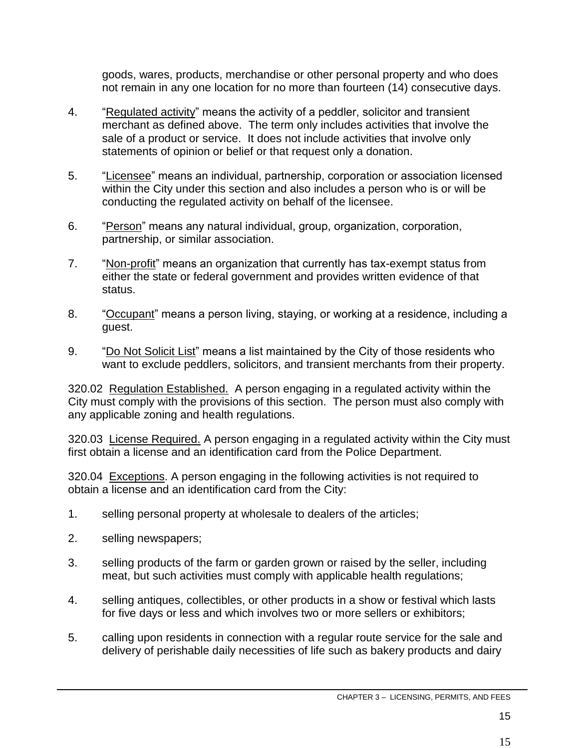goods, wares, products, merchandise or other personal property and who does not remain in any one location for no more than fourteen (14) consecutive days.

- 4. "Regulated activity" means the activity of a peddler, solicitor and transient merchant as defined above. The term only includes activities that involve the sale of a product or service. It does not include activities that involve only statements of opinion or belief or that request only a donation.
- 5. "Licensee" means an individual, partnership, corporation or association licensed within the City under this section and also includes a person who is or will be conducting the regulated activity on behalf of the licensee.
- 6. "Person" means any natural individual, group, organization, corporation, partnership, or similar association.
- 7. "Non-profit" means an organization that currently has tax-exempt status from either the state or federal government and provides written evidence of that status.
- 8. "Occupant" means a person living, staying, or working at a residence, including a guest.
- 9. "Do Not Solicit List" means a list maintained by the City of those residents who want to exclude peddlers, solicitors, and transient merchants from their property.

320.02 Regulation Established. A person engaging in a regulated activity within the City must comply with the provisions of this section. The person must also comply with any applicable zoning and health regulations.

320.03 License Required. A person engaging in a regulated activity within the City must first obtain a license and an identification card from the Police Department.

320.04 Exceptions. A person engaging in the following activities is not required to obtain a license and an identification card from the City:

- 1. selling personal property at wholesale to dealers of the articles;
- 2. selling newspapers;
- 3. selling products of the farm or garden grown or raised by the seller, including meat, but such activities must comply with applicable health regulations;
- 4. selling antiques, collectibles, or other products in a show or festival which lasts for five days or less and which involves two or more sellers or exhibitors;
- 5. calling upon residents in connection with a regular route service for the sale and delivery of perishable daily necessities of life such as bakery products and dairy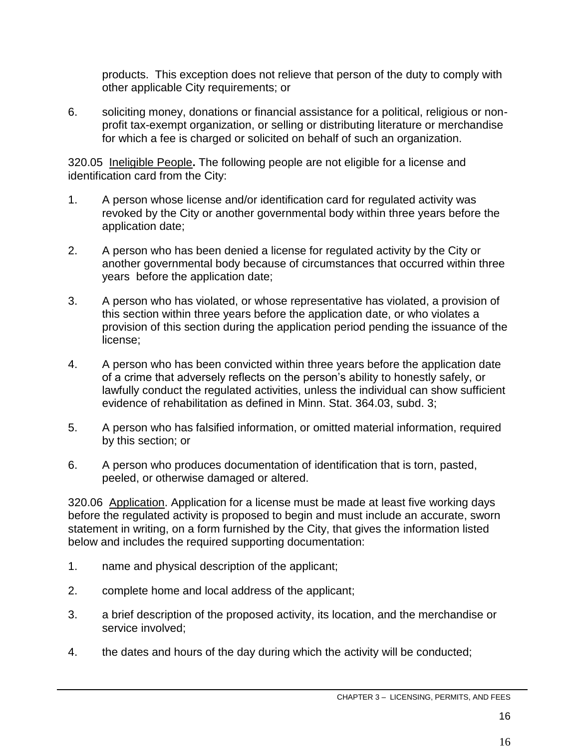products. This exception does not relieve that person of the duty to comply with other applicable City requirements; or

6. soliciting money, donations or financial assistance for a political, religious or nonprofit tax-exempt organization, or selling or distributing literature or merchandise for which a fee is charged or solicited on behalf of such an organization.

320.05 Ineligible People**.** The following people are not eligible for a license and identification card from the City:

- 1. A person whose license and/or identification card for regulated activity was revoked by the City or another governmental body within three years before the application date;
- 2. A person who has been denied a license for regulated activity by the City or another governmental body because of circumstances that occurred within three years before the application date;
- 3. A person who has violated, or whose representative has violated, a provision of this section within three years before the application date, or who violates a provision of this section during the application period pending the issuance of the license;
- 4. A person who has been convicted within three years before the application date of a crime that adversely reflects on the person's ability to honestly safely, or lawfully conduct the regulated activities, unless the individual can show sufficient evidence of rehabilitation as defined in Minn. Stat. 364.03, subd. 3;
- 5. A person who has falsified information, or omitted material information, required by this section; or
- 6. A person who produces documentation of identification that is torn, pasted, peeled, or otherwise damaged or altered.

320.06 Application. Application for a license must be made at least five working days before the regulated activity is proposed to begin and must include an accurate, sworn statement in writing, on a form furnished by the City, that gives the information listed below and includes the required supporting documentation:

- 1. name and physical description of the applicant;
- 2. complete home and local address of the applicant;
- 3. a brief description of the proposed activity, its location, and the merchandise or service involved;
- 4. the dates and hours of the day during which the activity will be conducted;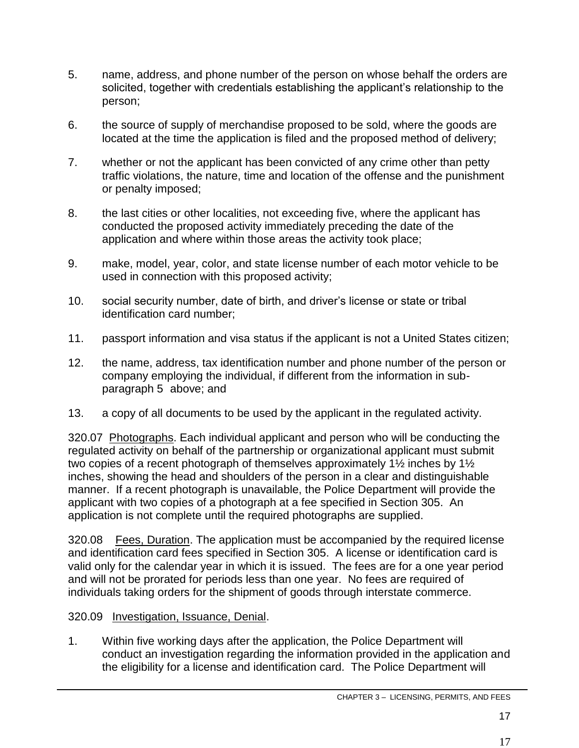- 5. name, address, and phone number of the person on whose behalf the orders are solicited, together with credentials establishing the applicant's relationship to the person;
- 6. the source of supply of merchandise proposed to be sold, where the goods are located at the time the application is filed and the proposed method of delivery;
- 7. whether or not the applicant has been convicted of any crime other than petty traffic violations, the nature, time and location of the offense and the punishment or penalty imposed;
- 8. the last cities or other localities, not exceeding five, where the applicant has conducted the proposed activity immediately preceding the date of the application and where within those areas the activity took place;
- 9. make, model, year, color, and state license number of each motor vehicle to be used in connection with this proposed activity;
- 10. social security number, date of birth, and driver's license or state or tribal identification card number;
- 11. passport information and visa status if the applicant is not a United States citizen;
- 12. the name, address, tax identification number and phone number of the person or company employing the individual, if different from the information in subparagraph 5 above; and
- 13. a copy of all documents to be used by the applicant in the regulated activity.

320.07 Photographs. Each individual applicant and person who will be conducting the regulated activity on behalf of the partnership or organizational applicant must submit two copies of a recent photograph of themselves approximately 1½ inches by 1½ inches, showing the head and shoulders of the person in a clear and distinguishable manner. If a recent photograph is unavailable, the Police Department will provide the applicant with two copies of a photograph at a fee specified in Section 305. An application is not complete until the required photographs are supplied.

320.08 Fees, Duration. The application must be accompanied by the required license and identification card fees specified in Section 305. A license or identification card is valid only for the calendar year in which it is issued. The fees are for a one year period and will not be prorated for periods less than one year. No fees are required of individuals taking orders for the shipment of goods through interstate commerce.

- 320.09 Investigation, Issuance, Denial.
- 1. Within five working days after the application, the Police Department will conduct an investigation regarding the information provided in the application and the eligibility for a license and identification card. The Police Department will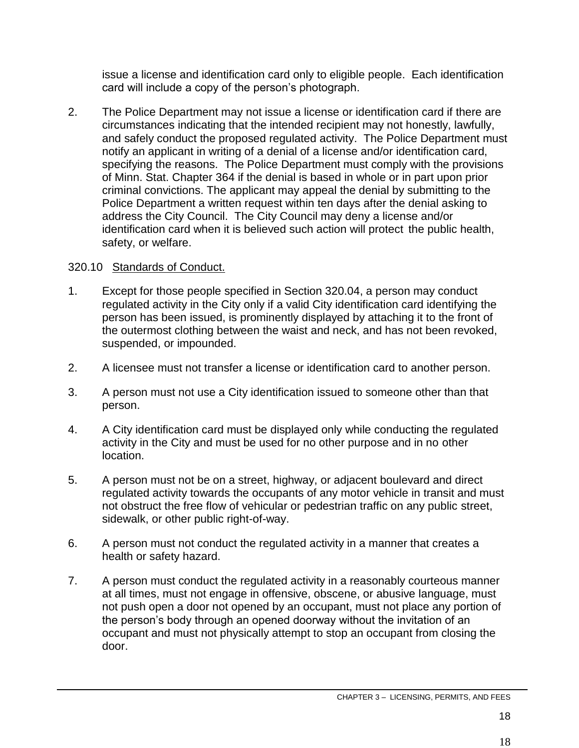issue a license and identification card only to eligible people. Each identification card will include a copy of the person's photograph.

2. The Police Department may not issue a license or identification card if there are circumstances indicating that the intended recipient may not honestly, lawfully, and safely conduct the proposed regulated activity. The Police Department must notify an applicant in writing of a denial of a license and/or identification card, specifying the reasons. The Police Department must comply with the provisions of Minn. Stat. Chapter 364 if the denial is based in whole or in part upon prior criminal convictions. The applicant may appeal the denial by submitting to the Police Department a written request within ten days after the denial asking to address the City Council. The City Council may deny a license and/or identification card when it is believed such action will protect the public health, safety, or welfare.

### 320.10 Standards of Conduct.

- 1. Except for those people specified in Section 320.04, a person may conduct regulated activity in the City only if a valid City identification card identifying the person has been issued, is prominently displayed by attaching it to the front of the outermost clothing between the waist and neck, and has not been revoked, suspended, or impounded.
- 2. A licensee must not transfer a license or identification card to another person.
- 3. A person must not use a City identification issued to someone other than that person.
- 4. A City identification card must be displayed only while conducting the regulated activity in the City and must be used for no other purpose and in no other location.
- 5. A person must not be on a street, highway, or adjacent boulevard and direct regulated activity towards the occupants of any motor vehicle in transit and must not obstruct the free flow of vehicular or pedestrian traffic on any public street, sidewalk, or other public right-of-way.
- 6. A person must not conduct the regulated activity in a manner that creates a health or safety hazard.
- 7. A person must conduct the regulated activity in a reasonably courteous manner at all times, must not engage in offensive, obscene, or abusive language, must not push open a door not opened by an occupant, must not place any portion of the person's body through an opened doorway without the invitation of an occupant and must not physically attempt to stop an occupant from closing the door.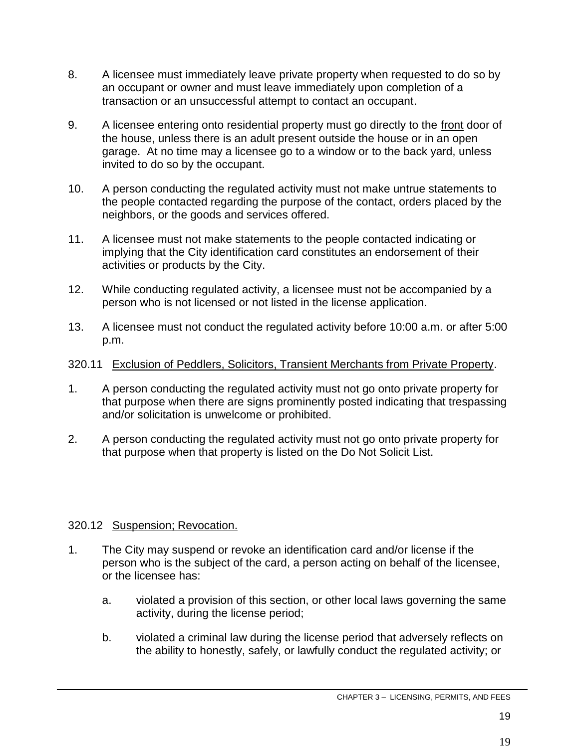- 8. A licensee must immediately leave private property when requested to do so by an occupant or owner and must leave immediately upon completion of a transaction or an unsuccessful attempt to contact an occupant.
- 9. A licensee entering onto residential property must go directly to the front door of the house, unless there is an adult present outside the house or in an open garage. At no time may a licensee go to a window or to the back yard, unless invited to do so by the occupant.
- 10. A person conducting the regulated activity must not make untrue statements to the people contacted regarding the purpose of the contact, orders placed by the neighbors, or the goods and services offered.
- 11. A licensee must not make statements to the people contacted indicating or implying that the City identification card constitutes an endorsement of their activities or products by the City.
- 12. While conducting regulated activity, a licensee must not be accompanied by a person who is not licensed or not listed in the license application.
- 13. A licensee must not conduct the regulated activity before 10:00 a.m. or after 5:00 p.m.

#### 320.11 Exclusion of Peddlers, Solicitors, Transient Merchants from Private Property.

- 1. A person conducting the regulated activity must not go onto private property for that purpose when there are signs prominently posted indicating that trespassing and/or solicitation is unwelcome or prohibited.
- 2. A person conducting the regulated activity must not go onto private property for that purpose when that property is listed on the Do Not Solicit List.

#### 320.12 Suspension; Revocation.

- 1. The City may suspend or revoke an identification card and/or license if the person who is the subject of the card, a person acting on behalf of the licensee, or the licensee has:
	- a. violated a provision of this section, or other local laws governing the same activity, during the license period;
	- b. violated a criminal law during the license period that adversely reflects on the ability to honestly, safely, or lawfully conduct the regulated activity; or